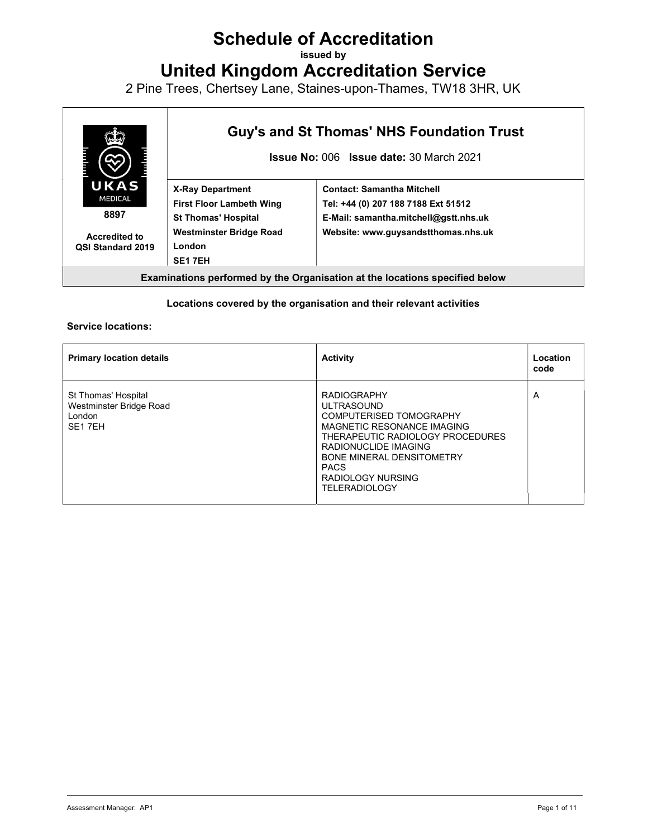# Schedule of Accreditation

issued by

United Kingdom Accreditation Service

2 Pine Trees, Chertsey Lane, Staines-upon-Thames, TW18 3HR, UK



#### Locations covered by the organisation and their relevant activities

#### Service locations:

| <b>Primary location details</b>                                                 | <b>Activity</b>                                                                                                                                                                                                                                                     | Location<br>code |
|---------------------------------------------------------------------------------|---------------------------------------------------------------------------------------------------------------------------------------------------------------------------------------------------------------------------------------------------------------------|------------------|
| St Thomas' Hospital<br>Westminster Bridge Road<br>London<br>SE <sub>1</sub> 7EH | <b>RADIOGRAPHY</b><br><b>ULTRASOUND</b><br><b>COMPUTERISED TOMOGRAPHY</b><br>MAGNETIC RESONANCE IMAGING<br>THERAPEUTIC RADIOLOGY PROCEDURES<br>RADIONUCLIDE IMAGING<br><b>BONE MINERAL DENSITOMETRY</b><br><b>PACS</b><br>RADIOLOGY NURSING<br><b>TELERADIOLOGY</b> | A                |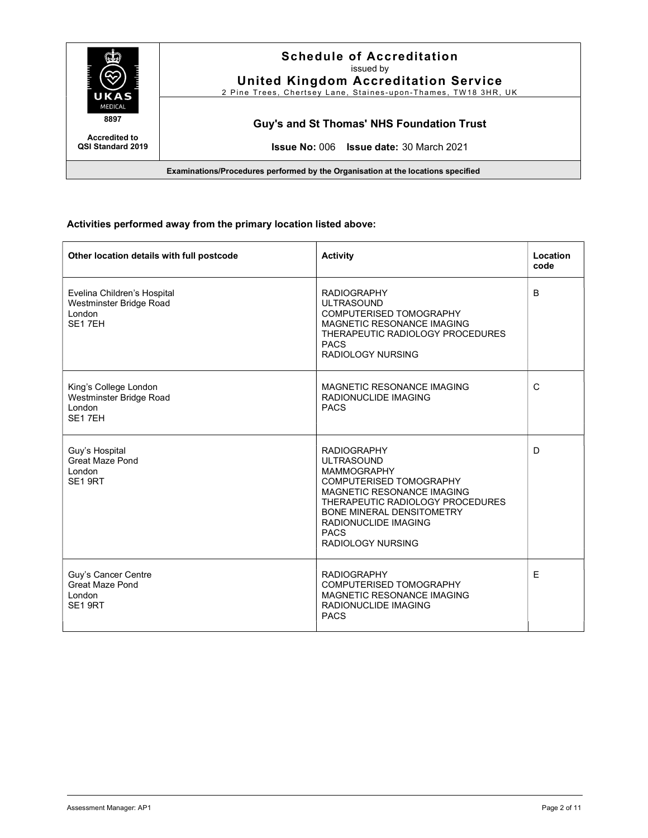

#### Activities performed away from the primary location listed above:

| Other location details with full postcode                                      | <b>Activity</b>                                                                                                                                                                                                                                                          | Location<br>code |
|--------------------------------------------------------------------------------|--------------------------------------------------------------------------------------------------------------------------------------------------------------------------------------------------------------------------------------------------------------------------|------------------|
| Evelina Children's Hospital<br>Westminster Bridge Road<br>London<br>SE17EH     | <b>RADIOGRAPHY</b><br><b>ULTRASOUND</b><br>COMPUTERISED TOMOGRAPHY<br>MAGNETIC RESONANCE IMAGING<br>THERAPEUTIC RADIOLOGY PROCEDURES<br><b>PACS</b><br><b>RADIOLOGY NURSING</b>                                                                                          | B                |
| King's College London<br>Westminster Bridge Road<br>London<br>SE17EH           | MAGNETIC RESONANCE IMAGING<br>RADIONUCLIDE IMAGING<br><b>PACS</b>                                                                                                                                                                                                        | $\mathsf{C}$     |
| Guy's Hospital<br><b>Great Maze Pond</b><br>London<br>SE <sub>1</sub> 9RT      | <b>RADIOGRAPHY</b><br><b>ULTRASOUND</b><br><b>MAMMOGRAPHY</b><br>COMPUTERISED TOMOGRAPHY<br>MAGNETIC RESONANCE IMAGING<br>THERAPEUTIC RADIOLOGY PROCEDURES<br><b>BONE MINERAL DENSITOMETRY</b><br><b>RADIONUCLIDE IMAGING</b><br><b>PACS</b><br><b>RADIOLOGY NURSING</b> | D                |
| Guy's Cancer Centre<br><b>Great Maze Pond</b><br>London<br>SE <sub>1</sub> 9RT | <b>RADIOGRAPHY</b><br><b>COMPUTERISED TOMOGRAPHY</b><br>MAGNETIC RESONANCE IMAGING<br><b>RADIONUCLIDE IMAGING</b><br><b>PACS</b>                                                                                                                                         | E                |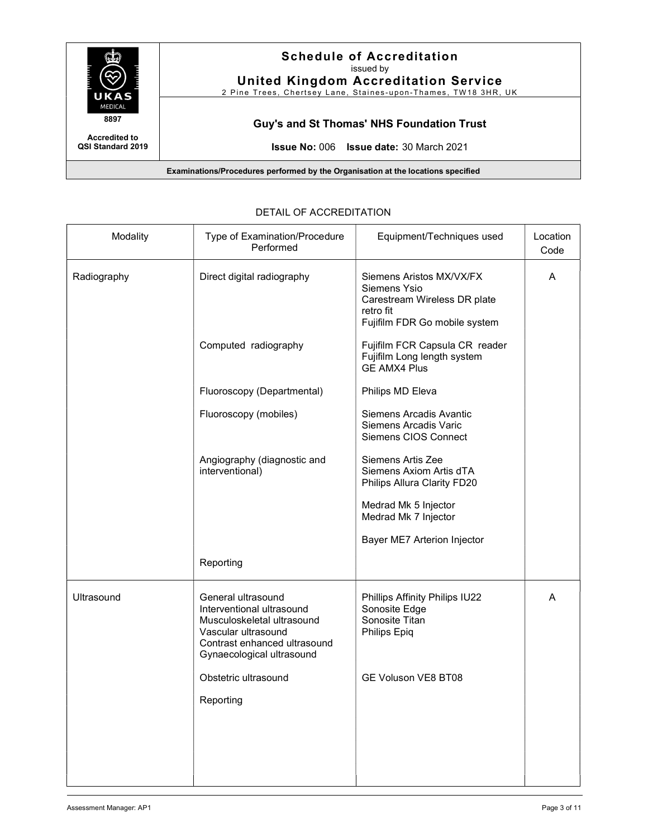

| Modality    | Type of Examination/Procedure<br>Performed                                                                                                                        | Equipment/Techniques used                                                                                              | Location<br>Code |
|-------------|-------------------------------------------------------------------------------------------------------------------------------------------------------------------|------------------------------------------------------------------------------------------------------------------------|------------------|
| Radiography | Direct digital radiography                                                                                                                                        | Siemens Aristos MX/VX/FX<br>Siemens Ysio<br>Carestream Wireless DR plate<br>retro fit<br>Fujifilm FDR Go mobile system | A                |
|             | Computed radiography                                                                                                                                              | Fujifilm FCR Capsula CR reader<br>Fujifilm Long length system<br><b>GE AMX4 Plus</b>                                   |                  |
|             | Fluoroscopy (Departmental)                                                                                                                                        | Philips MD Eleva                                                                                                       |                  |
|             | Fluoroscopy (mobiles)                                                                                                                                             | Siemens Arcadis Avantic<br>Siemens Arcadis Varic<br>Siemens CIOS Connect                                               |                  |
|             | Angiography (diagnostic and<br>interventional)                                                                                                                    | Siemens Artis Zee<br>Siemens Axiom Artis dTA<br>Philips Allura Clarity FD20                                            |                  |
|             |                                                                                                                                                                   | Medrad Mk 5 Injector<br>Medrad Mk 7 Injector                                                                           |                  |
|             |                                                                                                                                                                   | Bayer ME7 Arterion Injector                                                                                            |                  |
|             | Reporting                                                                                                                                                         |                                                                                                                        |                  |
| Ultrasound  | General ultrasound<br>Interventional ultrasound<br>Musculoskeletal ultrasound<br>Vascular ultrasound<br>Contrast enhanced ultrasound<br>Gynaecological ultrasound | Phillips Affinity Philips IU22<br>Sonosite Edge<br>Sonosite Titan<br>Philips Epiq                                      | A                |
|             | Obstetric ultrasound                                                                                                                                              | GE Voluson VE8 BT08                                                                                                    |                  |
|             | Reporting                                                                                                                                                         |                                                                                                                        |                  |
|             |                                                                                                                                                                   |                                                                                                                        |                  |

# DETAIL OF ACCREDITATION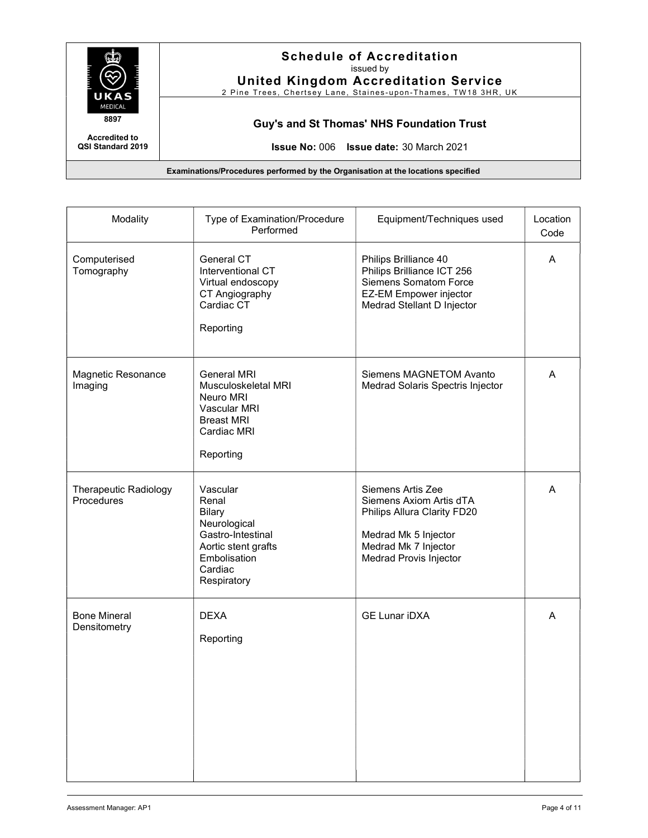

United Kingdom Accreditation Service 2 Pine Trees, Chertsey Lane, Staines-upon-Thames, TW18 3HR, UK

Guy's and St Thomas' NHS Foundation Trust

Accredited to QSI Standard 2019

Issue No: 006 Issue date: 30 March 2021

| Modality                                   | Type of Examination/Procedure<br>Performed                                                                                               | Equipment/Techniques used                                                                                                                             | Location<br>Code |
|--------------------------------------------|------------------------------------------------------------------------------------------------------------------------------------------|-------------------------------------------------------------------------------------------------------------------------------------------------------|------------------|
| Computerised<br>Tomography                 | General CT<br>Interventional CT<br>Virtual endoscopy<br>CT Angiography<br>Cardiac CT<br>Reporting                                        | Philips Brilliance 40<br>Philips Brilliance ICT 256<br><b>Siemens Somatom Force</b><br><b>EZ-EM Empower injector</b><br>Medrad Stellant D Injector    | A                |
| Magnetic Resonance<br>Imaging              | <b>General MRI</b><br>Musculoskeletal MRI<br>Neuro MRI<br>Vascular MRI<br><b>Breast MRI</b><br>Cardiac MRI<br>Reporting                  | Siemens MAGNETOM Avanto<br>Medrad Solaris Spectris Injector                                                                                           | A                |
| <b>Therapeutic Radiology</b><br>Procedures | Vascular<br>Renal<br><b>Bilary</b><br>Neurological<br>Gastro-Intestinal<br>Aortic stent grafts<br>Embolisation<br>Cardiac<br>Respiratory | Siemens Artis Zee<br>Siemens Axiom Artis dTA<br>Philips Allura Clarity FD20<br>Medrad Mk 5 Injector<br>Medrad Mk 7 Injector<br>Medrad Provis Injector | A                |
| <b>Bone Mineral</b><br>Densitometry        | <b>DEXA</b><br>Reporting                                                                                                                 | <b>GE Lunar iDXA</b>                                                                                                                                  | A                |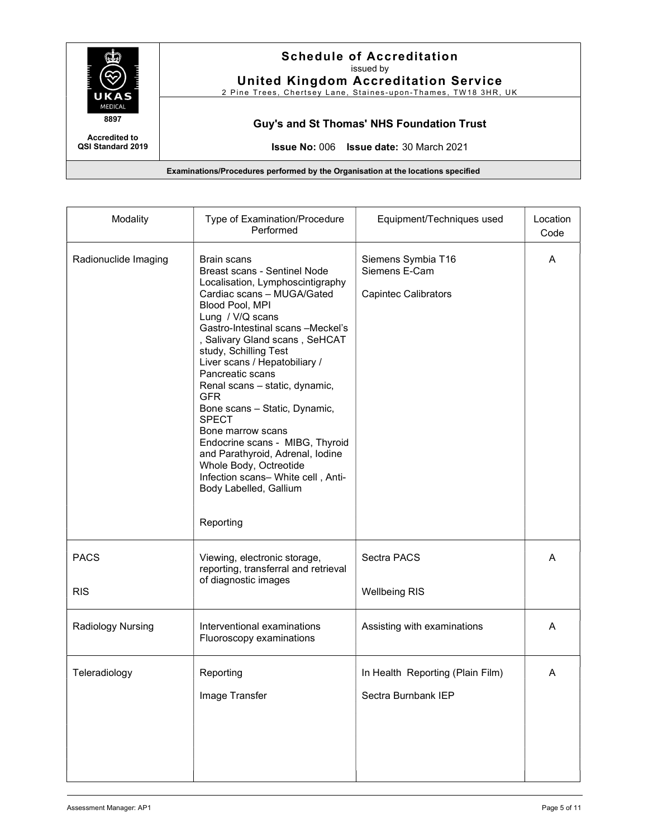

United Kingdom Accreditation Service

2 Pine Trees, Chertsey Lane, Staines-upon-Thames, TW18 3HR, UK

Guy's and St Thomas' NHS Foundation Trust

Accredited to QSI Standard 2019

Issue No: 006 Issue date: 30 March 2021

| Modality                  | Type of Examination/Procedure<br>Performed                                                                                                                                                                                                                                                                                                                                                                                                                                                                                                                                                                    | Equipment/Techniques used                                          | Location<br>Code |
|---------------------------|---------------------------------------------------------------------------------------------------------------------------------------------------------------------------------------------------------------------------------------------------------------------------------------------------------------------------------------------------------------------------------------------------------------------------------------------------------------------------------------------------------------------------------------------------------------------------------------------------------------|--------------------------------------------------------------------|------------------|
| Radionuclide Imaging      | Brain scans<br>Breast scans - Sentinel Node<br>Localisation, Lymphoscintigraphy<br>Cardiac scans - MUGA/Gated<br>Blood Pool, MPI<br>Lung / V/Q scans<br>Gastro-Intestinal scans -Meckel's<br>, Salivary Gland scans, SeHCAT<br>study, Schilling Test<br>Liver scans / Hepatobiliary /<br>Pancreatic scans<br>Renal scans - static, dynamic,<br><b>GFR</b><br>Bone scans - Static, Dynamic,<br><b>SPECT</b><br>Bone marrow scans<br>Endocrine scans - MIBG, Thyroid<br>and Parathyroid, Adrenal, Iodine<br>Whole Body, Octreotide<br>Infection scans- White cell, Anti-<br>Body Labelled, Gallium<br>Reporting | Siemens Symbia T16<br>Siemens E-Cam<br><b>Capintec Calibrators</b> | A                |
| <b>PACS</b><br><b>RIS</b> | Viewing, electronic storage,<br>reporting, transferral and retrieval<br>of diagnostic images                                                                                                                                                                                                                                                                                                                                                                                                                                                                                                                  | Sectra PACS<br><b>Wellbeing RIS</b>                                | A                |
| Radiology Nursing         | Interventional examinations<br>Fluoroscopy examinations                                                                                                                                                                                                                                                                                                                                                                                                                                                                                                                                                       | Assisting with examinations                                        | A                |
| Teleradiology             | Reporting<br>Image Transfer                                                                                                                                                                                                                                                                                                                                                                                                                                                                                                                                                                                   | In Health Reporting (Plain Film)<br>Sectra Burnbank IEP            | A                |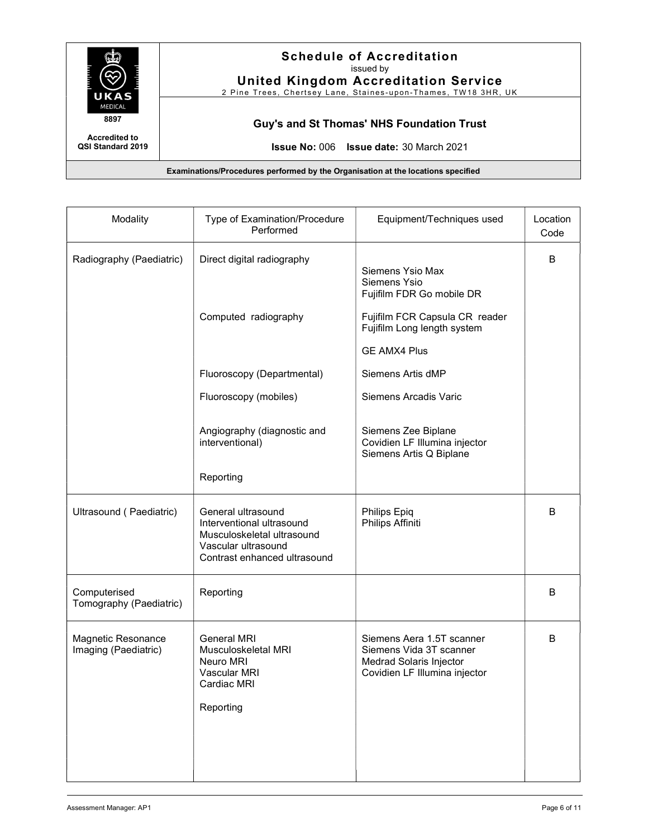

United Kingdom Accreditation Service

2 Pine Trees, Chertsey Lane, Staines-upon-Thames, TW18 3HR, UK

Guy's and St Thomas' NHS Foundation Trust

Accredited to QSI Standard 2019

Issue No: 006 Issue date: 30 March 2021

| Modality                                   | Type of Examination/Procedure<br>Performed                                                                                           | Equipment/Techniques used                                                                                        | Location<br>Code |
|--------------------------------------------|--------------------------------------------------------------------------------------------------------------------------------------|------------------------------------------------------------------------------------------------------------------|------------------|
| Radiography (Paediatric)                   | Direct digital radiography                                                                                                           | Siemens Ysio Max<br>Siemens Ysio<br>Fujifilm FDR Go mobile DR                                                    | B                |
|                                            | Computed radiography                                                                                                                 | Fujifilm FCR Capsula CR reader<br>Fujifilm Long length system<br><b>GE AMX4 Plus</b>                             |                  |
|                                            | Fluoroscopy (Departmental)                                                                                                           | Siemens Artis dMP                                                                                                |                  |
|                                            | Fluoroscopy (mobiles)                                                                                                                | Siemens Arcadis Varic                                                                                            |                  |
|                                            | Angiography (diagnostic and<br>interventional)                                                                                       | Siemens Zee Biplane<br>Covidien LF Illumina injector<br>Siemens Artis Q Biplane                                  |                  |
|                                            | Reporting                                                                                                                            |                                                                                                                  |                  |
| Ultrasound (Paediatric)                    | General ultrasound<br>Interventional ultrasound<br>Musculoskeletal ultrasound<br>Vascular ultrasound<br>Contrast enhanced ultrasound | Philips Epiq<br>Philips Affiniti                                                                                 | B                |
| Computerised<br>Tomography (Paediatric)    | Reporting                                                                                                                            |                                                                                                                  | B                |
| Magnetic Resonance<br>Imaging (Paediatric) | General MRI<br>Musculoskeletal MRI<br>Neuro MRI<br>Vascular MRI<br>Cardiac MRI<br>Reporting                                          | Siemens Aera 1.5T scanner<br>Siemens Vida 3T scanner<br>Medrad Solaris Injector<br>Covidien LF Illumina injector | B                |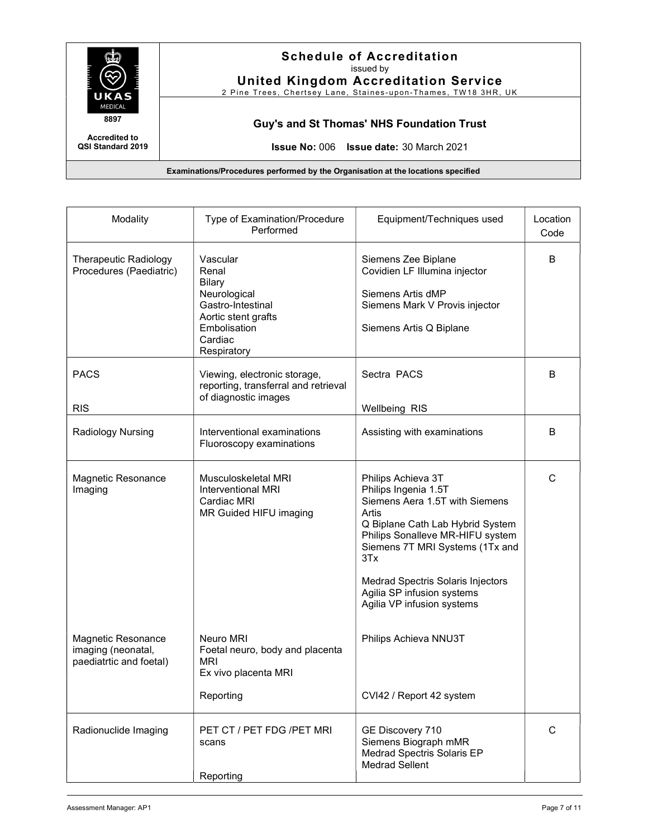

United Kingdom Accreditation Service

2 Pine Trees, Chertsey Lane, Staines-upon-Thames, TW18 3HR, UK

Guy's and St Thomas' NHS Foundation Trust

Accredited to QSI Standard 2019

Issue No: 006 Issue date: 30 March 2021

| Modality                                                            | Type of Examination/Procedure<br>Performed                                                                                               | Equipment/Techniques used                                                                                                                                                                                                                                                                                | Location<br>Code |
|---------------------------------------------------------------------|------------------------------------------------------------------------------------------------------------------------------------------|----------------------------------------------------------------------------------------------------------------------------------------------------------------------------------------------------------------------------------------------------------------------------------------------------------|------------------|
| <b>Therapeutic Radiology</b><br>Procedures (Paediatric)             | Vascular<br>Renal<br><b>Bilary</b><br>Neurological<br>Gastro-Intestinal<br>Aortic stent grafts<br>Embolisation<br>Cardiac<br>Respiratory | Siemens Zee Biplane<br>Covidien LF Illumina injector<br>Siemens Artis dMP<br>Siemens Mark V Provis injector<br>Siemens Artis Q Biplane                                                                                                                                                                   | B                |
| <b>PACS</b><br><b>RIS</b>                                           | Viewing, electronic storage,<br>reporting, transferral and retrieval<br>of diagnostic images                                             | Sectra PACS<br><b>Wellbeing RIS</b>                                                                                                                                                                                                                                                                      | B                |
| Radiology Nursing                                                   | Interventional examinations<br>Fluoroscopy examinations                                                                                  | Assisting with examinations                                                                                                                                                                                                                                                                              | B                |
| Magnetic Resonance<br>Imaging                                       | Musculoskeletal MRI<br><b>Interventional MRI</b><br>Cardiac MRI<br>MR Guided HIFU imaging                                                | Philips Achieva 3T<br>Philips Ingenia 1.5T<br>Siemens Aera 1.5T with Siemens<br>Artis<br>Q Biplane Cath Lab Hybrid System<br>Philips Sonalleve MR-HIFU system<br>Siemens 7T MRI Systems (1Tx and<br>3Tx<br>Medrad Spectris Solaris Injectors<br>Agilia SP infusion systems<br>Agilia VP infusion systems | $\mathsf{C}$     |
| Magnetic Resonance<br>imaging (neonatal,<br>paediatrtic and foetal) | Neuro MRI<br>Foetal neuro, body and placenta<br><b>MRI</b><br>Ex vivo placenta MRI                                                       | Philips Achieva NNU3T                                                                                                                                                                                                                                                                                    |                  |
|                                                                     | Reporting                                                                                                                                | CVI42 / Report 42 system                                                                                                                                                                                                                                                                                 |                  |
| Radionuclide Imaging                                                | PET CT / PET FDG / PET MRI<br>scans<br>Reporting                                                                                         | GE Discovery 710<br>Siemens Biograph mMR<br>Medrad Spectris Solaris EP<br><b>Medrad Sellent</b>                                                                                                                                                                                                          | $\mathsf{C}$     |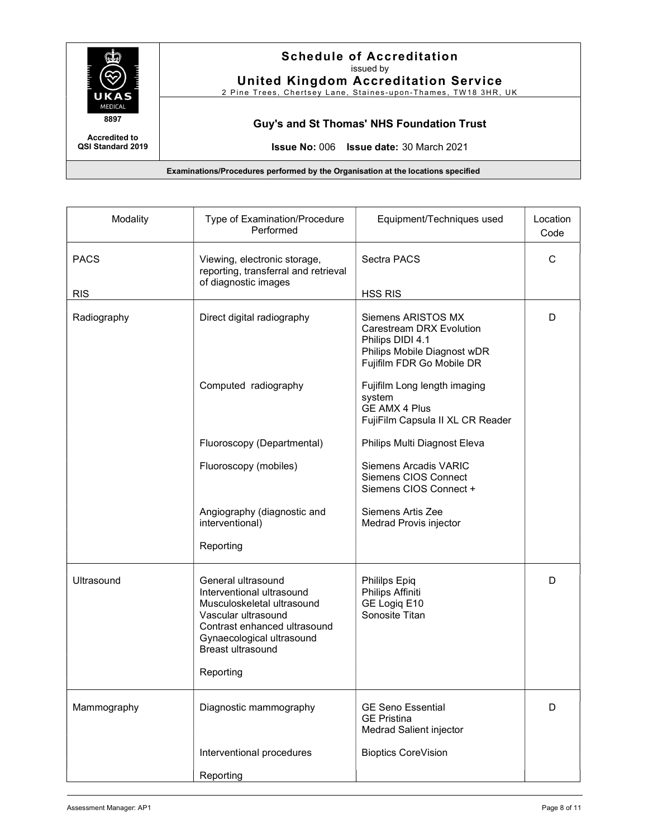

United Kingdom Accreditation Service 2 Pine Trees, Chertsey Lane, Staines-upon-Thames, TW18 3HR, UK

Guy's and St Thomas' NHS Foundation Trust

Accredited to QSI Standard 2019

Issue No: 006 Issue date: 30 March 2021

| Modality                  | Type of Examination/Procedure<br>Performed                                                                                                                                                                 | Equipment/Techniques used                                                                                                      | Location<br>Code |
|---------------------------|------------------------------------------------------------------------------------------------------------------------------------------------------------------------------------------------------------|--------------------------------------------------------------------------------------------------------------------------------|------------------|
| <b>PACS</b><br><b>RIS</b> | Viewing, electronic storage,<br>reporting, transferral and retrieval<br>of diagnostic images                                                                                                               | Sectra PACS<br><b>HSS RIS</b>                                                                                                  | C                |
| Radiography               | Direct digital radiography                                                                                                                                                                                 | Siemens ARISTOS MX<br>Carestream DRX Evolution<br>Philips DIDI 4.1<br>Philips Mobile Diagnost wDR<br>Fujifilm FDR Go Mobile DR | D                |
|                           | Computed radiography                                                                                                                                                                                       | Fujifilm Long length imaging<br>system<br><b>GE AMX 4 Plus</b><br>FujiFilm Capsula II XL CR Reader                             |                  |
|                           | Fluoroscopy (Departmental)                                                                                                                                                                                 | Philips Multi Diagnost Eleva                                                                                                   |                  |
|                           | Fluoroscopy (mobiles)                                                                                                                                                                                      | Siemens Arcadis VARIC<br>Siemens CIOS Connect<br>Siemens CIOS Connect +                                                        |                  |
|                           | Angiography (diagnostic and<br>interventional)<br>Reporting                                                                                                                                                | Siemens Artis Zee<br>Medrad Provis injector                                                                                    |                  |
| Ultrasound                | General ultrasound<br>Interventional ultrasound<br>Musculoskeletal ultrasound<br>Vascular ultrasound<br>Contrast enhanced ultrasound<br>Gynaecological ultrasound<br><b>Breast ultrasound</b><br>Reporting | Phililps Epiq<br>Philips Affiniti<br>GE Logiq E10<br>Sonosite Titan                                                            | D                |
| Mammography               | Diagnostic mammography                                                                                                                                                                                     | <b>GE Seno Essential</b><br><b>GE Pristina</b><br>Medrad Salient injector                                                      | D                |
|                           | Interventional procedures                                                                                                                                                                                  | <b>Bioptics CoreVision</b>                                                                                                     |                  |
|                           | Reporting                                                                                                                                                                                                  |                                                                                                                                |                  |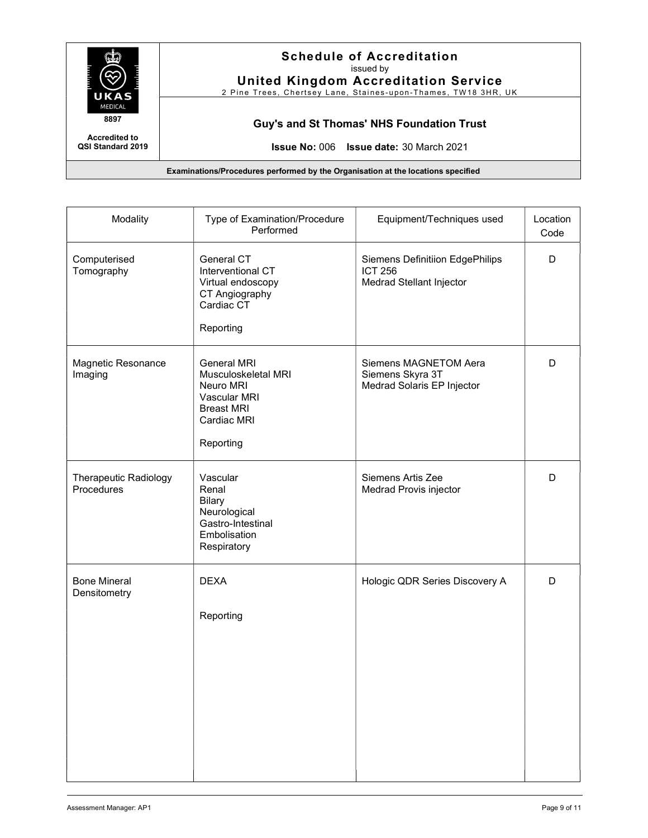

QSI Standard 2019

## Schedule of Accreditation issued by

United Kingdom Accreditation Service

2 Pine Trees, Chertsey Lane, Staines-upon-Thames, TW18 3HR, UK

Accredited to

Guy's and St Thomas' NHS Foundation Trust

Issue No: 006 Issue date: 30 March 2021

| Modality                                   | Type of Examination/Procedure<br>Performed                                                                              | Equipment/Techniques used                                                            | Location<br>Code |
|--------------------------------------------|-------------------------------------------------------------------------------------------------------------------------|--------------------------------------------------------------------------------------|------------------|
| Computerised<br>Tomography                 | General CT<br>Interventional CT<br>Virtual endoscopy<br>CT Angiography<br>Cardiac CT<br>Reporting                       | <b>Siemens Definitiion EdgePhilips</b><br><b>ICT 256</b><br>Medrad Stellant Injector | D                |
| Magnetic Resonance<br>Imaging              | <b>General MRI</b><br>Musculoskeletal MRI<br>Neuro MRI<br>Vascular MRI<br><b>Breast MRI</b><br>Cardiac MRI<br>Reporting | Siemens MAGNETOM Aera<br>Siemens Skyra 3T<br>Medrad Solaris EP Injector              | D                |
| <b>Therapeutic Radiology</b><br>Procedures | Vascular<br>Renal<br><b>Bilary</b><br>Neurological<br>Gastro-Intestinal<br>Embolisation<br>Respiratory                  | Siemens Artis Zee<br>Medrad Provis injector                                          | D                |
| <b>Bone Mineral</b><br>Densitometry        | <b>DEXA</b><br>Reporting                                                                                                | Hologic QDR Series Discovery A                                                       | D                |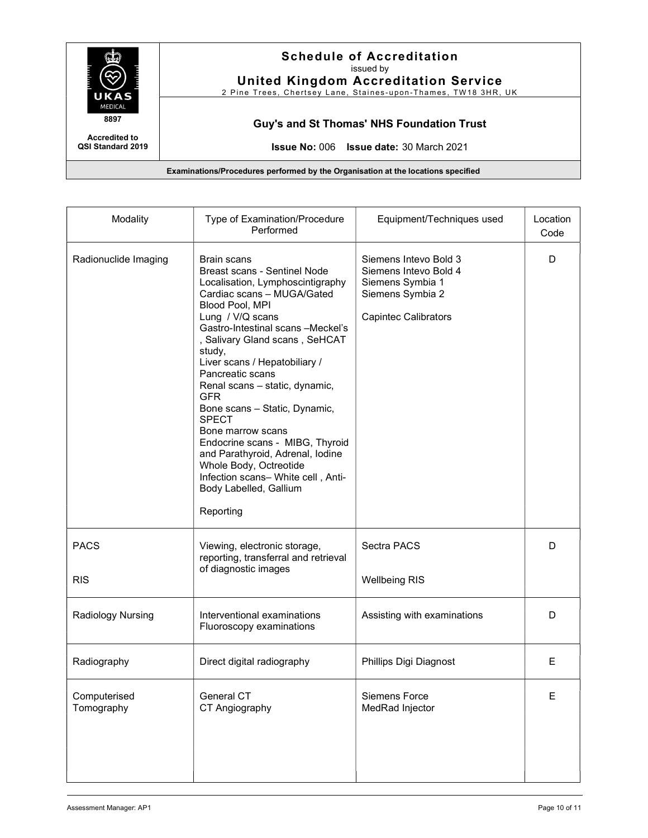

United Kingdom Accreditation Service

2 Pine Trees, Chertsey Lane, Staines-upon-Thames, TW18 3HR, UK

Guy's and St Thomas' NHS Foundation Trust

Accredited to QSI Standard 2019

Issue No: 006 Issue date: 30 March 2021

| Modality                   | Type of Examination/Procedure<br>Performed                                                                                                                                                                                                                                                                                                                                                                                                                                                                                                                                                     | Equipment/Techniques used                                                                                             | Location<br>Code |
|----------------------------|------------------------------------------------------------------------------------------------------------------------------------------------------------------------------------------------------------------------------------------------------------------------------------------------------------------------------------------------------------------------------------------------------------------------------------------------------------------------------------------------------------------------------------------------------------------------------------------------|-----------------------------------------------------------------------------------------------------------------------|------------------|
| Radionuclide Imaging       | Brain scans<br>Breast scans - Sentinel Node<br>Localisation, Lymphoscintigraphy<br>Cardiac scans - MUGA/Gated<br>Blood Pool, MPI<br>Lung / V/Q scans<br>Gastro-Intestinal scans -Meckel's<br>, Salivary Gland scans, SeHCAT<br>study,<br>Liver scans / Hepatobiliary /<br>Pancreatic scans<br>Renal scans - static, dynamic,<br><b>GFR</b><br>Bone scans - Static, Dynamic,<br><b>SPECT</b><br>Bone marrow scans<br>Endocrine scans - MIBG, Thyroid<br>and Parathyroid, Adrenal, Iodine<br>Whole Body, Octreotide<br>Infection scans- White cell, Anti-<br>Body Labelled, Gallium<br>Reporting | Siemens Intevo Bold 3<br>Siemens Intevo Bold 4<br>Siemens Symbia 1<br>Siemens Symbia 2<br><b>Capintec Calibrators</b> | D                |
| <b>PACS</b><br><b>RIS</b>  | Viewing, electronic storage,<br>reporting, transferral and retrieval<br>of diagnostic images                                                                                                                                                                                                                                                                                                                                                                                                                                                                                                   | Sectra PACS<br><b>Wellbeing RIS</b>                                                                                   | D                |
|                            |                                                                                                                                                                                                                                                                                                                                                                                                                                                                                                                                                                                                |                                                                                                                       |                  |
| Radiology Nursing          | Interventional examinations<br>Fluoroscopy examinations                                                                                                                                                                                                                                                                                                                                                                                                                                                                                                                                        | Assisting with examinations                                                                                           | D                |
| Radiography                | Direct digital radiography                                                                                                                                                                                                                                                                                                                                                                                                                                                                                                                                                                     | Phillips Digi Diagnost                                                                                                | E.               |
| Computerised<br>Tomography | General CT<br>CT Angiography                                                                                                                                                                                                                                                                                                                                                                                                                                                                                                                                                                   | Siemens Force<br>MedRad Injector                                                                                      | Е                |